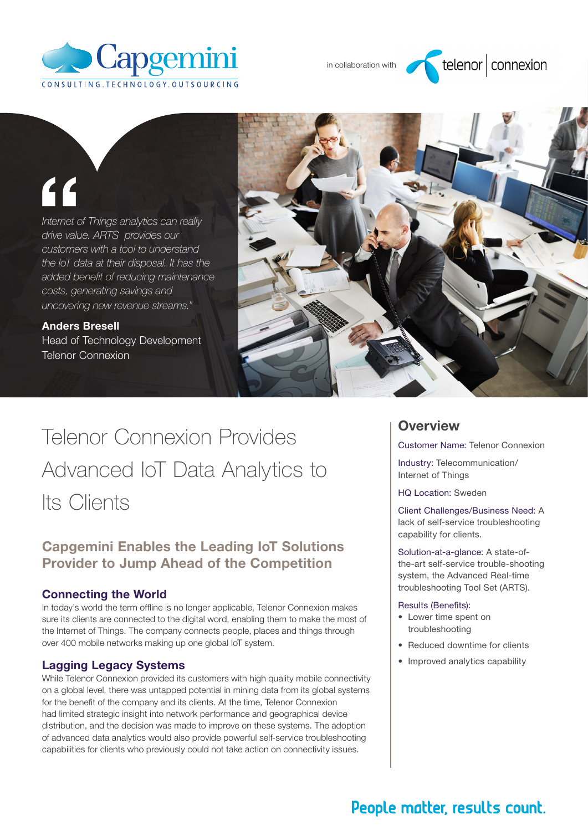

in collaboration with

# $telenor|$  connexion

# "

*Internet of Things analytics can really drive value. ARTS provides our customers with a tool to understand the IoT data at their disposal. It has the added benefit of reducing maintenance costs, generating savings and uncovering new revenue streams."* 

Anders Bresell Head of Technology Development Telenor Connexion



# Telenor Connexion Provides Advanced IoT Data Analytics to Its Clients

## Capgemini Enables the Leading IoT Solutions Provider to Jump Ahead of the Competition

#### Connecting the World

In today's world the term offline is no longer applicable, Telenor Connexion makes sure its clients are connected to the digital word, enabling them to make the most of the Internet of Things. The company connects people, places and things through over 400 mobile networks making up one global IoT system.

#### Lagging Legacy Systems

While Telenor Connexion provided its customers with high quality mobile connectivity on a global level, there was untapped potential in mining data from its global systems for the benefit of the company and its clients. At the time, Telenor Connexion had limited strategic insight into network performance and geographical device distribution, and the decision was made to improve on these systems. The adoption of advanced data analytics would also provide powerful self-service troubleshooting capabilities for clients who previously could not take action on connectivity issues.

### **Overview**

Customer Name: Telenor Connexion

Industry: Telecommunication/ Internet of Things

HQ Location: Sweden

Client Challenges/Business Need: A lack of self-service troubleshooting capability for clients.

Solution-at-a-glance: A state-ofthe-art self-service trouble-shooting system, the Advanced Real-time troubleshooting Tool Set (ARTS).

#### Results (Benefits):

- • Lower time spent on troubleshooting
- Reduced downtime for clients
- Improved analytics capability